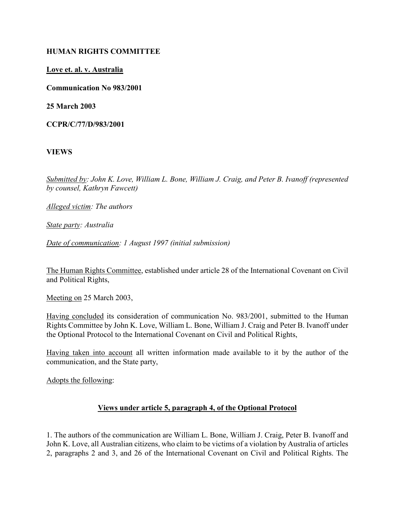#### HUMAN RIGHTS COMMITTEE

#### Love et. al. v. Australia

Communication No 983/2001

25 March 2003

CCPR/C/77/D/983/2001

VIEWS

Submitted by: John K. Love, William L. Bone, William J. Craig, and Peter B. Ivanoff (represented by counsel, Kathryn Fawcett)

Alleged victim: The authors

State party: Australia

Date of communication: 1 August 1997 (initial submission)

The Human Rights Committee, established under article 28 of the International Covenant on Civil and Political Rights,

Meeting on 25 March 2003,

Having concluded its consideration of communication No. 983/2001, submitted to the Human Rights Committee by John K. Love, William L. Bone, William J. Craig and Peter B. Ivanoff under the Optional Protocol to the International Covenant on Civil and Political Rights,

Having taken into account all written information made available to it by the author of the communication, and the State party,

Adopts the following:

## Views under article 5, paragraph 4, of the Optional Protocol

1. The authors of the communication are William L. Bone, William J. Craig, Peter B. Ivanoff and John K. Love, all Australian citizens, who claim to be victims of a violation by Australia of articles 2, paragraphs 2 and 3, and 26 of the International Covenant on Civil and Political Rights. The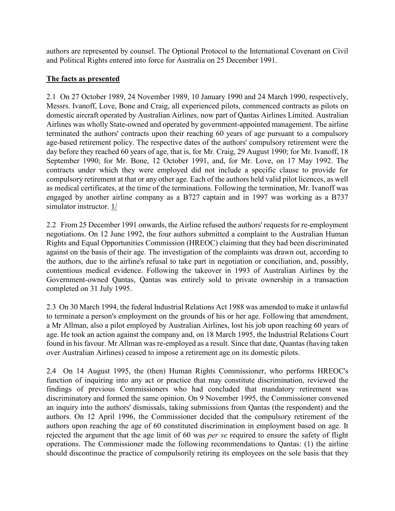authors are represented by counsel. The Optional Protocol to the International Covenant on Civil and Political Rights entered into force for Australia on 25 December 1991.

# The facts as presented

2.1 On 27 October 1989, 24 November 1989, 10 January 1990 and 24 March 1990, respectively, Messrs. Ivanoff, Love, Bone and Craig, all experienced pilots, commenced contracts as pilots on domestic aircraft operated by Australian Airlines, now part of Qantas Airlines Limited. Australian Airlines was wholly State-owned and operated by government-appointed management. The airline terminated the authors' contracts upon their reaching 60 years of age pursuant to a compulsory age-based retirement policy. The respective dates of the authors' compulsory retirement were the day before they reached 60 years of age, that is, for Mr. Craig, 29 August 1990; for Mr. Ivanoff, 18 September 1990; for Mr. Bone, 12 October 1991, and, for Mr. Love, on 17 May 1992. The contracts under which they were employed did not include a specific clause to provide for compulsory retirement at that or any other age. Each of the authors held valid pilot licences, as well as medical certificates, at the time of the terminations. Following the termination, Mr. Ivanoff was engaged by another airline company as a B727 captain and in 1997 was working as a B737 simulator instructor. 1/

2.2 From 25 December 1991 onwards, the Airline refused the authors' requests for re-employment negotiations. On 12 June 1992, the four authors submitted a complaint to the Australian Human Rights and Equal Opportunities Commission (HREOC) claiming that they had been discriminated against on the basis of their age. The investigation of the complaints was drawn out, according to the authors, due to the airline's refusal to take part in negotiation or conciliation, and, possibly, contentious medical evidence. Following the takeover in 1993 of Australian Airlines by the Government-owned Qantas, Qantas was entirely sold to private ownership in a transaction completed on 31 July 1995.

2.3 On 30 March 1994, the federal Industrial Relations Act 1988 was amended to make it unlawful to terminate a person's employment on the grounds of his or her age. Following that amendment, a Mr Allman, also a pilot employed by Australian Airlines, lost his job upon reaching 60 years of age. He took an action against the company and, on 18 March 1995, the Industrial Relations Court found in his favour. Mr Allman was re-employed as a result. Since that date, Quantas (having taken over Australian Airlines) ceased to impose a retirement age on its domestic pilots.

2.4 On 14 August 1995, the (then) Human Rights Commissioner, who performs HREOC's function of inquiring into any act or practice that may constitute discrimination, reviewed the findings of previous Commissioners who had concluded that mandatory retirement was discriminatory and formed the same opinion. On 9 November 1995, the Commissioner convened an inquiry into the authors' dismissals, taking submissions from Qantas (the respondent) and the authors. On 12 April 1996, the Commissioner decided that the compulsory retirement of the authors upon reaching the age of 60 constituted discrimination in employment based on age. It rejected the argument that the age limit of 60 was per se required to ensure the safety of flight operations. The Commissioner made the following recommendations to Qantas: (1) the airline should discontinue the practice of compulsorily retiring its employees on the sole basis that they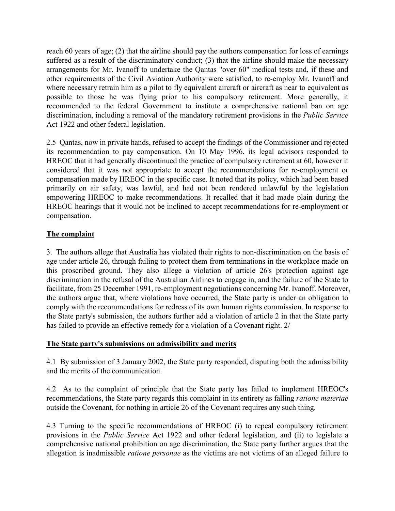reach 60 years of age; (2) that the airline should pay the authors compensation for loss of earnings suffered as a result of the discriminatory conduct; (3) that the airline should make the necessary arrangements for Mr. Ivanoff to undertake the Qantas "over 60" medical tests and, if these and other requirements of the Civil Aviation Authority were satisfied, to re-employ Mr. Ivanoff and where necessary retrain him as a pilot to fly equivalent aircraft or aircraft as near to equivalent as possible to those he was flying prior to his compulsory retirement. More generally, it recommended to the federal Government to institute a comprehensive national ban on age discrimination, including a removal of the mandatory retirement provisions in the Public Service Act 1922 and other federal legislation.

2.5 Qantas, now in private hands, refused to accept the findings of the Commissioner and rejected its recommendation to pay compensation. On 10 May 1996, its legal advisors responded to HREOC that it had generally discontinued the practice of compulsory retirement at 60, however it considered that it was not appropriate to accept the recommendations for re-employment or compensation made by HREOC in the specific case. It noted that its policy, which had been based primarily on air safety, was lawful, and had not been rendered unlawful by the legislation empowering HREOC to make recommendations. It recalled that it had made plain during the HREOC hearings that it would not be inclined to accept recommendations for re-employment or compensation.

# The complaint

3. The authors allege that Australia has violated their rights to non-discrimination on the basis of age under article 26, through failing to protect them from terminations in the workplace made on this proscribed ground. They also allege a violation of article 26's protection against age discrimination in the refusal of the Australian Airlines to engage in, and the failure of the State to facilitate, from 25 December 1991, re-employment negotiations concerning Mr. Ivanoff. Moreover, the authors argue that, where violations have occurred, the State party is under an obligation to comply with the recommendations for redress of its own human rights commission. In response to the State party's submission, the authors further add a violation of article 2 in that the State party has failed to provide an effective remedy for a violation of a Covenant right. 2/

## The State party's submissions on admissibility and merits

4.1 By submission of 3 January 2002, the State party responded, disputing both the admissibility and the merits of the communication.

4.2 As to the complaint of principle that the State party has failed to implement HREOC's recommendations, the State party regards this complaint in its entirety as falling ratione materiae outside the Covenant, for nothing in article 26 of the Covenant requires any such thing.

4.3 Turning to the specific recommendations of HREOC (i) to repeal compulsory retirement provisions in the Public Service Act 1922 and other federal legislation, and (ii) to legislate a comprehensive national prohibition on age discrimination, the State party further argues that the allegation is inadmissible ratione personae as the victims are not victims of an alleged failure to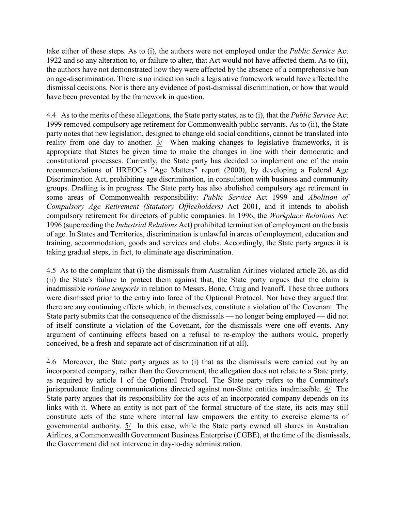take either of these steps. As to (i), the authors were not employed under the Public Service Act 1922 and so any alteration to, or failure to alter, that Act would not have affected them. As to (ii), the authors have not demonstrated how they were affected by the absence of a comprehensive ban on age-discrimination. There is no indication such a legislative framework would have affected the dismissal decisions. Nor is there any evidence of post-dismissal discrimination, or how that would have been prevented by the framework in question.

4.4 As to the merits of these allegations, the State party states, as to (i), that the *Public Service* Act 1999 removed compulsory age retirement for Commonwealth public servants. As to (ii), the State party notes that new legislation, designed to change old social conditions, cannot be translated into reality from one day to another.  $3/$  When making changes to legislative frameworks, it is appropriate that States be given time to make the changes in line with their democratic and constitutional processes. Currently, the State party has decided to implement one of the main recommendations of HREOC's "Age Matters" report (2000), by developing a Federal Age Discrimination Act, prohibiting age discrimination, in consultation with business and community groups. Drafting is in progress. The State party has also abolished compulsory age retirement in some areas of Commonwealth responsibility: Public Service Act 1999 and Abolition of Compulsory Age Retirement (Statutory Officeholders) Act 2001, and it intends to abolish compulsory retirement for directors of public companies. In 1996, the Workplace Relations Act 1996 (superceding the Industrial Relations Act) prohibited termination of employment on the basis of age. In States and Territories, discrimination is unlawful in areas of employment, education and training, accommodation, goods and services and clubs. Accordingly, the State party argues it is taking gradual steps, in fact, to eliminate age discrimination.

4.5 As to the complaint that (i) the dismissals from Australian Airlines violated article 26, as did (ii) the State's failure to protect them against that, the State party argues that the claim is inadmissible ratione temporis in relation to Messrs. Bone, Craig and Ivanoff. These three authors were dismissed prior to the entry into force of the Optional Protocol. Nor have they argued that there are any continuing effects which, in themselves, constitute a violation of the Covenant. The State party submits that the consequence of the dismissals — no longer being employed — did not of itself constitute a violation of the Covenant, for the dismissals were one-off events. Any argument of continuing effects based on a refusal to re-employ the authors would, properly conceived, be a fresh and separate act of discrimination (if at all).

4.6 Moreover, the State party argues as to (i) that as the dismissals were carried out by an incorporated company, rather than the Government, the allegation does not relate to a State party, as required by article 1 of the Optional Protocol. The State party refers to the Committee's jurisprudence finding communications directed against non-State entities inadmissible. 4/ The State party argues that its responsibility for the acts of an incorporated company depends on its links with it. Where an entity is not part of the formal structure of the state, its acts may still constitute acts of the state where internal law empowers the entity to exercise elements of governmental authority. 5/ In this case, while the State party owned all shares in Australian Airlines, a Commonwealth Government Business Enterprise (CGBE), at the time of the dismissals, the Government did not intervene in day-to-day administration.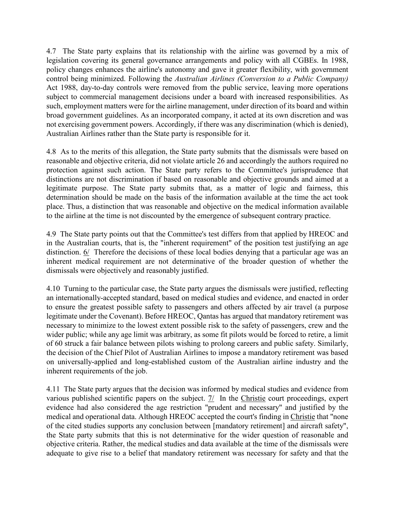4.7 The State party explains that its relationship with the airline was governed by a mix of legislation covering its general governance arrangements and policy with all CGBEs. In 1988, policy changes enhances the airline's autonomy and gave it greater flexibility, with government control being minimized. Following the Australian Airlines (Conversion to a Public Company) Act 1988, day-to-day controls were removed from the public service, leaving more operations subject to commercial management decisions under a board with increased responsibilities. As such, employment matters were for the airline management, under direction of its board and within broad government guidelines. As an incorporated company, it acted at its own discretion and was not exercising government powers. Accordingly, if there was any discrimination (which is denied), Australian Airlines rather than the State party is responsible for it.

4.8 As to the merits of this allegation, the State party submits that the dismissals were based on reasonable and objective criteria, did not violate article 26 and accordingly the authors required no protection against such action. The State party refers to the Committee's jurisprudence that distinctions are not discrimination if based on reasonable and objective grounds and aimed at a legitimate purpose. The State party submits that, as a matter of logic and fairness, this determination should be made on the basis of the information available at the time the act took place. Thus, a distinction that was reasonable and objective on the medical information available to the airline at the time is not discounted by the emergence of subsequent contrary practice.

4.9 The State party points out that the Committee's test differs from that applied by HREOC and in the Australian courts, that is, the "inherent requirement" of the position test justifying an age distinction. 6/ Therefore the decisions of these local bodies denying that a particular age was an inherent medical requirement are not determinative of the broader question of whether the dismissals were objectively and reasonably justified.

4.10 Turning to the particular case, the State party argues the dismissals were justified, reflecting an internationally-accepted standard, based on medical studies and evidence, and enacted in order to ensure the greatest possible safety to passengers and others affected by air travel (a purpose legitimate under the Covenant). Before HREOC, Qantas has argued that mandatory retirement was necessary to minimize to the lowest extent possible risk to the safety of passengers, crew and the wider public; while any age limit was arbitrary, as some fit pilots would be forced to retire, a limit of 60 struck a fair balance between pilots wishing to prolong careers and public safety. Similarly, the decision of the Chief Pilot of Australian Airlines to impose a mandatory retirement was based on universally-applied and long-established custom of the Australian airline industry and the inherent requirements of the job.

4.11 The State party argues that the decision was informed by medical studies and evidence from various published scientific papers on the subject. 7/ In the Christie court proceedings, expert evidence had also considered the age restriction "prudent and necessary" and justified by the medical and operational data. Although HREOC accepted the court's finding in Christie that "none of the cited studies supports any conclusion between [mandatory retirement] and aircraft safety", the State party submits that this is not determinative for the wider question of reasonable and objective criteria. Rather, the medical studies and data available at the time of the dismissals were adequate to give rise to a belief that mandatory retirement was necessary for safety and that the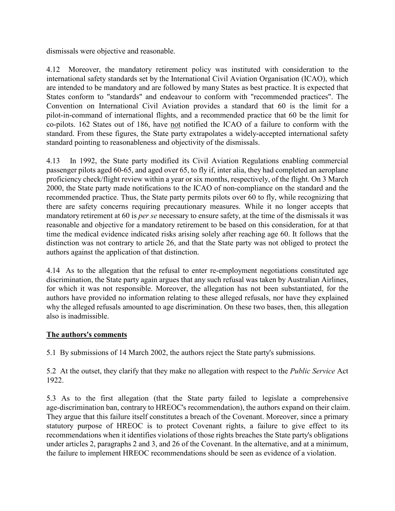dismissals were objective and reasonable.

4.12 Moreover, the mandatory retirement policy was instituted with consideration to the international safety standards set by the International Civil Aviation Organisation (ICAO), which are intended to be mandatory and are followed by many States as best practice. It is expected that States conform to "standards" and endeavour to conform with "recommended practices". The Convention on International Civil Aviation provides a standard that 60 is the limit for a pilot-in-command of international flights, and a recommended practice that 60 be the limit for co-pilots. 162 States out of 186, have not notified the ICAO of a failure to conform with the standard. From these figures, the State party extrapolates a widely-accepted international safety standard pointing to reasonableness and objectivity of the dismissals.

4.13 In 1992, the State party modified its Civil Aviation Regulations enabling commercial passenger pilots aged 60-65, and aged over 65, to fly if, inter alia, they had completed an aeroplane proficiency check/flight review within a year or six months, respectively, of the flight. On 3 March 2000, the State party made notifications to the ICAO of non-compliance on the standard and the recommended practice. Thus, the State party permits pilots over 60 to fly, while recognizing that there are safety concerns requiring precautionary measures. While it no longer accepts that mandatory retirement at 60 is *per se* necessary to ensure safety, at the time of the dismissals it was reasonable and objective for a mandatory retirement to be based on this consideration, for at that time the medical evidence indicated risks arising solely after reaching age 60. It follows that the distinction was not contrary to article 26, and that the State party was not obliged to protect the authors against the application of that distinction.

4.14 As to the allegation that the refusal to enter re-employment negotiations constituted age discrimination, the State party again argues that any such refusal was taken by Australian Airlines, for which it was not responsible. Moreover, the allegation has not been substantiated, for the authors have provided no information relating to these alleged refusals, nor have they explained why the alleged refusals amounted to age discrimination. On these two bases, then, this allegation also is inadmissible.

# The authors's comments

5.1 By submissions of 14 March 2002, the authors reject the State party's submissions.

5.2 At the outset, they clarify that they make no allegation with respect to the *Public Service* Act 1922.

5.3 As to the first allegation (that the State party failed to legislate a comprehensive age-discrimination ban, contrary to HREOC's recommendation), the authors expand on their claim. They argue that this failure itself constitutes a breach of the Covenant. Moreover, since a primary statutory purpose of HREOC is to protect Covenant rights, a failure to give effect to its recommendations when it identifies violations of those rights breaches the State party's obligations under articles 2, paragraphs 2 and 3, and 26 of the Covenant. In the alternative, and at a minimum, the failure to implement HREOC recommendations should be seen as evidence of a violation.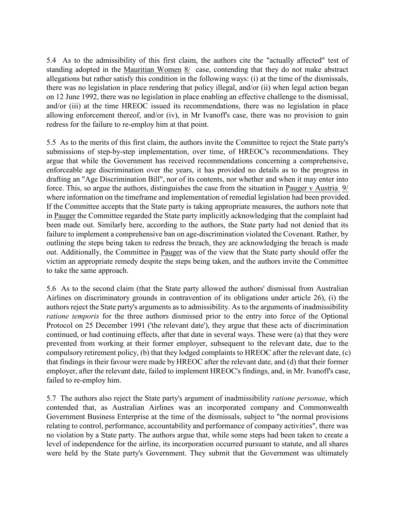5.4 As to the admissibility of this first claim, the authors cite the "actually affected" test of standing adopted in the Mauritian Women 8/ case, contending that they do not make abstract allegations but rather satisfy this condition in the following ways: (i) at the time of the dismissals, there was no legislation in place rendering that policy illegal, and/or (ii) when legal action began on 12 June 1992, there was no legislation in place enabling an effective challenge to the dismissal, and/or (iii) at the time HREOC issued its recommendations, there was no legislation in place allowing enforcement thereof, and/or (iv), in Mr Ivanoff's case, there was no provision to gain redress for the failure to re-employ him at that point.

5.5 As to the merits of this first claim, the authors invite the Committee to reject the State party's submissions of step-by-step implementation, over time, of HREOC's recommendations. They argue that while the Government has received recommendations concerning a comprehensive, enforceable age discrimination over the years, it has provided no details as to the progress in drafting an "Age Discrimination Bill", nor of its contents, nor whether and when it may enter into force. This, so argue the authors, distinguishes the case from the situation in Pauger v Austria 9/ where information on the timeframe and implementation of remedial legislation had been provided. If the Committee accepts that the State party is taking appropriate measures, the authors note that in Pauger the Committee regarded the State party implicitly acknowledging that the complaint had been made out. Similarly here, according to the authors, the State party had not denied that its failure to implement a comprehensive ban on age-discrimination violated the Covenant. Rather, by outlining the steps being taken to redress the breach, they are acknowledging the breach is made out. Additionally, the Committee in Pauger was of the view that the State party should offer the victim an appropriate remedy despite the steps being taken, and the authors invite the Committee to take the same approach.

5.6 As to the second claim (that the State party allowed the authors' dismissal from Australian Airlines on discriminatory grounds in contravention of its obligations under article 26), (i) the authors reject the State party's arguments as to admissibility. As to the arguments of inadmissibility ratione temporis for the three authors dismissed prior to the entry into force of the Optional Protocol on 25 December 1991 ('the relevant date'), they argue that these acts of discrimination continued, or had continuing effects, after that date in several ways. These were (a) that they were prevented from working at their former employer, subsequent to the relevant date, due to the compulsory retirement policy, (b) that they lodged complaints to HREOC after the relevant date, (c) that findings in their favour were made by HREOC after the relevant date, and (d) that their former employer, after the relevant date, failed to implement HREOC's findings, and, in Mr. Ivanoff's case, failed to re-employ him.

5.7 The authors also reject the State party's argument of inadmissibility ratione personae, which contended that, as Australian Airlines was an incorporated company and Commonwealth Government Business Enterprise at the time of the dismissals, subject to "the normal provisions relating to control, performance, accountability and performance of company activities", there was no violation by a State party. The authors argue that, while some steps had been taken to create a level of independence for the airline, its incorporation occurred pursuant to statute, and all shares were held by the State party's Government. They submit that the Government was ultimately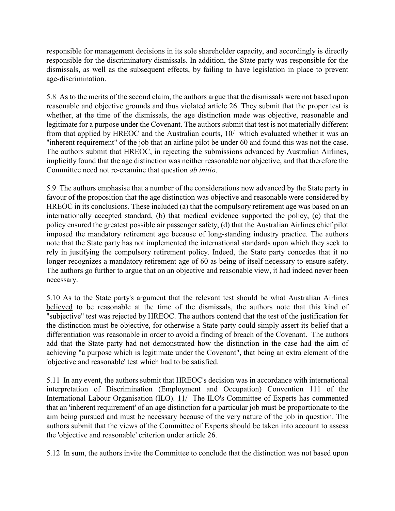responsible for management decisions in its sole shareholder capacity, and accordingly is directly responsible for the discriminatory dismissals. In addition, the State party was responsible for the dismissals, as well as the subsequent effects, by failing to have legislation in place to prevent age-discrimination.

5.8 As to the merits of the second claim, the authors argue that the dismissals were not based upon reasonable and objective grounds and thus violated article 26. They submit that the proper test is whether, at the time of the dismissals, the age distinction made was objective, reasonable and legitimate for a purpose under the Covenant. The authors submit that test is not materially different from that applied by HREOC and the Australian courts, 10/ which evaluated whether it was an "inherent requirement" of the job that an airline pilot be under 60 and found this was not the case. The authors submit that HREOC, in rejecting the submissions advanced by Australian Airlines, implicitly found that the age distinction was neither reasonable nor objective, and that therefore the Committee need not re-examine that question ab initio.

5.9 The authors emphasise that a number of the considerations now advanced by the State party in favour of the proposition that the age distinction was objective and reasonable were considered by HREOC in its conclusions. These included (a) that the compulsory retirement age was based on an internationally accepted standard, (b) that medical evidence supported the policy, (c) that the policy ensured the greatest possible air passenger safety, (d) that the Australian Airlines chief pilot imposed the mandatory retirement age because of long-standing industry practice. The authors note that the State party has not implemented the international standards upon which they seek to rely in justifying the compulsory retirement policy. Indeed, the State party concedes that it no longer recognizes a mandatory retirement age of 60 as being of itself necessary to ensure safety. The authors go further to argue that on an objective and reasonable view, it had indeed never been necessary.

5.10 As to the State party's argument that the relevant test should be what Australian Airlines believed to be reasonable at the time of the dismissals, the authors note that this kind of "subjective" test was rejected by HREOC. The authors contend that the test of the justification for the distinction must be objective, for otherwise a State party could simply assert its belief that a differentiation was reasonable in order to avoid a finding of breach of the Covenant. The authors add that the State party had not demonstrated how the distinction in the case had the aim of achieving "a purpose which is legitimate under the Covenant", that being an extra element of the 'objective and reasonable' test which had to be satisfied.

5.11 In any event, the authors submit that HREOC's decision was in accordance with international interpretation of Discrimination (Employment and Occupation) Convention 111 of the International Labour Organisation (ILO). 11/ The ILO's Committee of Experts has commented that an 'inherent requirement' of an age distinction for a particular job must be proportionate to the aim being pursued and must be necessary because of the very nature of the job in question. The authors submit that the views of the Committee of Experts should be taken into account to assess the 'objective and reasonable' criterion under article 26.

5.12 In sum, the authors invite the Committee to conclude that the distinction was not based upon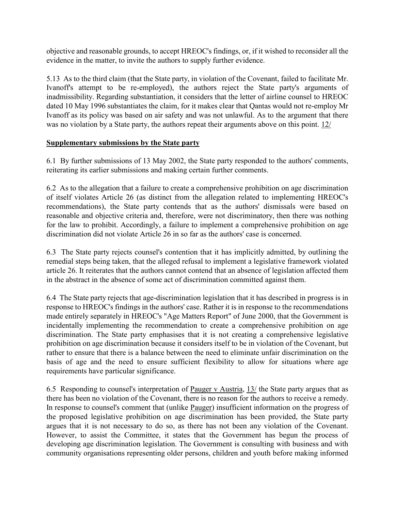objective and reasonable grounds, to accept HREOC's findings, or, if it wished to reconsider all the evidence in the matter, to invite the authors to supply further evidence.

5.13 As to the third claim (that the State party, in violation of the Covenant, failed to facilitate Mr. Ivanoff's attempt to be re-employed), the authors reject the State party's arguments of inadmissibility. Regarding substantiation, it considers that the letter of airline counsel to HREOC dated 10 May 1996 substantiates the claim, for it makes clear that Qantas would not re-employ Mr Ivanoff as its policy was based on air safety and was not unlawful. As to the argument that there was no violation by a State party, the authors repeat their arguments above on this point. 12/

## Supplementary submissions by the State party

6.1 By further submissions of 13 May 2002, the State party responded to the authors' comments, reiterating its earlier submissions and making certain further comments.

6.2 As to the allegation that a failure to create a comprehensive prohibition on age discrimination of itself violates Article 26 (as distinct from the allegation related to implementing HREOC's recommendations), the State party contends that as the authors' dismissals were based on reasonable and objective criteria and, therefore, were not discriminatory, then there was nothing for the law to prohibit. Accordingly, a failure to implement a comprehensive prohibition on age discrimination did not violate Article 26 in so far as the authors' case is concerned.

6.3 The State party rejects counsel's contention that it has implicitly admitted, by outlining the remedial steps being taken, that the alleged refusal to implement a legislative framework violated article 26. It reiterates that the authors cannot contend that an absence of legislation affected them in the abstract in the absence of some act of discrimination committed against them.

6.4 The State party rejects that age-discrimination legislation that it has described in progress is in response to HREOC's findings in the authors' case. Rather it is in response to the recommendations made entirely separately in HREOC's "Age Matters Report" of June 2000, that the Government is incidentally implementing the recommendation to create a comprehensive prohibition on age discrimination. The State party emphasises that it is not creating a comprehensive legislative prohibition on age discrimination because it considers itself to be in violation of the Covenant, but rather to ensure that there is a balance between the need to eliminate unfair discrimination on the basis of age and the need to ensure sufficient flexibility to allow for situations where age requirements have particular significance.

6.5 Responding to counsel's interpretation of Pauger v Austria, 13/ the State party argues that as there has been no violation of the Covenant, there is no reason for the authors to receive a remedy. In response to counsel's comment that (unlike Pauger) insufficient information on the progress of the proposed legislative prohibition on age discrimination has been provided, the State party argues that it is not necessary to do so, as there has not been any violation of the Covenant. However, to assist the Committee, it states that the Government has begun the process of developing age discrimination legislation. The Government is consulting with business and with community organisations representing older persons, children and youth before making informed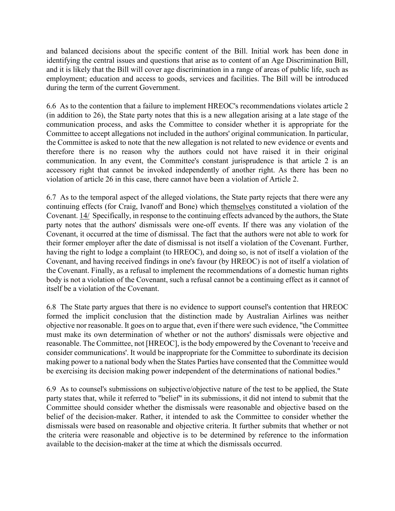and balanced decisions about the specific content of the Bill. Initial work has been done in identifying the central issues and questions that arise as to content of an Age Discrimination Bill, and it is likely that the Bill will cover age discrimination in a range of areas of public life, such as employment; education and access to goods, services and facilities. The Bill will be introduced during the term of the current Government.

6.6 As to the contention that a failure to implement HREOC's recommendations violates article 2 (in addition to 26), the State party notes that this is a new allegation arising at a late stage of the communication process, and asks the Committee to consider whether it is appropriate for the Committee to accept allegations not included in the authors' original communication. In particular, the Committee is asked to note that the new allegation is not related to new evidence or events and therefore there is no reason why the authors could not have raised it in their original communication. In any event, the Committee's constant jurisprudence is that article 2 is an accessory right that cannot be invoked independently of another right. As there has been no violation of article 26 in this case, there cannot have been a violation of Article 2.

6.7 As to the temporal aspect of the alleged violations, the State party rejects that there were any continuing effects (for Craig, Ivanoff and Bone) which themselves constituted a violation of the Covenant. 14/ Specifically, in response to the continuing effects advanced by the authors, the State party notes that the authors' dismissals were one-off events. If there was any violation of the Covenant, it occurred at the time of dismissal. The fact that the authors were not able to work for their former employer after the date of dismissal is not itself a violation of the Covenant. Further, having the right to lodge a complaint (to HREOC), and doing so, is not of itself a violation of the Covenant, and having received findings in one's favour (by HREOC) is not of itself a violation of the Covenant. Finally, as a refusal to implement the recommendations of a domestic human rights body is not a violation of the Covenant, such a refusal cannot be a continuing effect as it cannot of itself be a violation of the Covenant.

6.8 The State party argues that there is no evidence to support counsel's contention that HREOC formed the implicit conclusion that the distinction made by Australian Airlines was neither objective nor reasonable. It goes on to argue that, even if there were such evidence, "the Committee must make its own determination of whether or not the authors' dismissals were objective and reasonable. The Committee, not [HREOC], is the body empowered by the Covenant to 'receive and consider communications'. It would be inappropriate for the Committee to subordinate its decision making power to a national body when the States Parties have consented that the Committee would be exercising its decision making power independent of the determinations of national bodies."

6.9 As to counsel's submissions on subjective/objective nature of the test to be applied, the State party states that, while it referred to "belief" in its submissions, it did not intend to submit that the Committee should consider whether the dismissals were reasonable and objective based on the belief of the decision-maker. Rather, it intended to ask the Committee to consider whether the dismissals were based on reasonable and objective criteria. It further submits that whether or not the criteria were reasonable and objective is to be determined by reference to the information available to the decision-maker at the time at which the dismissals occurred.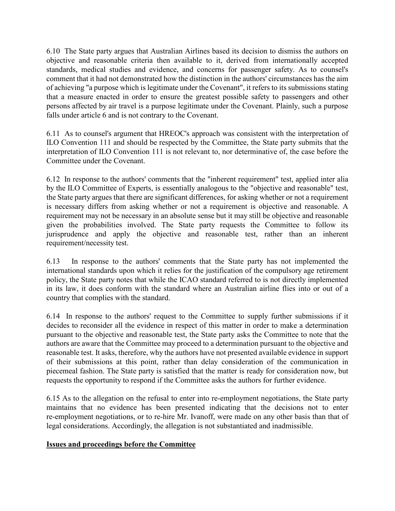6.10 The State party argues that Australian Airlines based its decision to dismiss the authors on objective and reasonable criteria then available to it, derived from internationally accepted standards, medical studies and evidence, and concerns for passenger safety. As to counsel's comment that it had not demonstrated how the distinction in the authors' circumstances has the aim of achieving "a purpose which is legitimate under the Covenant", it refers to its submissions stating that a measure enacted in order to ensure the greatest possible safety to passengers and other persons affected by air travel is a purpose legitimate under the Covenant. Plainly, such a purpose falls under article 6 and is not contrary to the Covenant.

6.11 As to counsel's argument that HREOC's approach was consistent with the interpretation of ILO Convention 111 and should be respected by the Committee, the State party submits that the interpretation of ILO Convention 111 is not relevant to, nor determinative of, the case before the Committee under the Covenant.

6.12 In response to the authors' comments that the "inherent requirement" test, applied inter alia by the ILO Committee of Experts, is essentially analogous to the "objective and reasonable" test, the State party argues that there are significant differences, for asking whether or not a requirement is necessary differs from asking whether or not a requirement is objective and reasonable. A requirement may not be necessary in an absolute sense but it may still be objective and reasonable given the probabilities involved. The State party requests the Committee to follow its jurisprudence and apply the objective and reasonable test, rather than an inherent requirement/necessity test.

6.13 In response to the authors' comments that the State party has not implemented the international standards upon which it relies for the justification of the compulsory age retirement policy, the State party notes that while the ICAO standard referred to is not directly implemented in its law, it does conform with the standard where an Australian airline flies into or out of a country that complies with the standard.

6.14 In response to the authors' request to the Committee to supply further submissions if it decides to reconsider all the evidence in respect of this matter in order to make a determination pursuant to the objective and reasonable test, the State party asks the Committee to note that the authors are aware that the Committee may proceed to a determination pursuant to the objective and reasonable test. It asks, therefore, why the authors have not presented available evidence in support of their submissions at this point, rather than delay consideration of the communication in piecemeal fashion. The State party is satisfied that the matter is ready for consideration now, but requests the opportunity to respond if the Committee asks the authors for further evidence.

6.15 As to the allegation on the refusal to enter into re-employment negotiations, the State party maintains that no evidence has been presented indicating that the decisions not to enter re-employment negotiations, or to re-hire Mr. Ivanoff, were made on any other basis than that of legal considerations. Accordingly, the allegation is not substantiated and inadmissible.

## Issues and proceedings before the Committee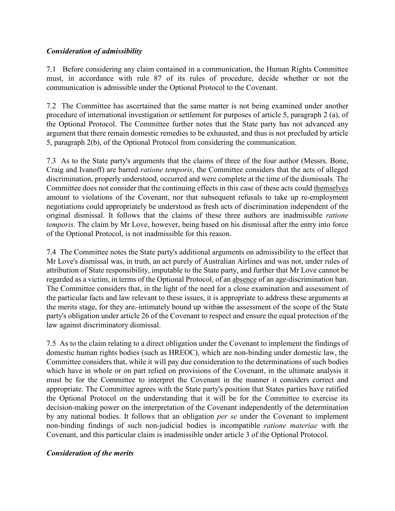## Consideration of admissibility

7.1 Before considering any claim contained in a communication, the Human Rights Committee must, in accordance with rule 87 of its rules of procedure, decide whether or not the communication is admissible under the Optional Protocol to the Covenant.

7.2 The Committee has ascertained that the same matter is not being examined under another procedure of international investigation or settlement for purposes of article 5, paragraph 2 (a), of the Optional Protocol. The Committee further notes that the State party has not advanced any argument that there remain domestic remedies to be exhausted, and thus is not precluded by article 5, paragraph 2(b), of the Optional Protocol from considering the communication.

7.3 As to the State party's arguments that the claims of three of the four author (Messrs. Bone, Craig and Ivanoff) are barred ratione temporis, the Committee considers that the acts of alleged discrimination, properly understood, occurred and were complete at the time of the dismissals. The Committee does not consider that the continuing effects in this case of these acts could themselves amount to violations of the Covenant, nor that subsequent refusals to take up re-employment negotiations could appropriately be understood as fresh acts of discrimination independent of the original dismissal. It follows that the claims of these three authors are inadmissible ratione temporis. The claim by Mr Love, however, being based on his dismissal after the entry into force of the Optional Protocol, is not inadmissible for this reason.

7.4 The Committee notes the State party's additional arguments on admissibility to the effect that Mr Love's dismissal was, in truth, an act purely of Australian Airlines and was not, under rules of attribution of State responsibility, imputable to the State party, and further that Mr Love cannot be regarded as a victim, in terms of the Optional Protocol, of an absence of an age-discrimination ban. The Committee considers that, in the light of the need for a close examination and assessment of the particular facts and law relevant to these issues, it is appropriate to address these arguments at the merits stage, for they are. intimately bound up within the assessment of the scope of the State party's obligation under article 26 of the Covenant to respect and ensure the equal protection of the law against discriminatory dismissal.

7.5 As to the claim relating to a direct obligation under the Covenant to implement the findings of domestic human rights bodies (such as HREOC), which are non-binding under domestic law, the Committee considers that, while it will pay due consideration to the determinations of such bodies which have in whole or on part relied on provisions of the Covenant, in the ultimate analysis it must be for the Committee to interpret the Covenant in the manner it considers correct and appropriate. The Committee agrees with the State party's position that States parties have ratified the Optional Protocol on the understanding that it will be for the Committee to exercise its decision-making power on the interpretation of the Covenant independently of the determination by any national bodies. It follows that an obligation per se under the Covenant to implement non-binding findings of such non-judicial bodies is incompatible ratione materiae with the Covenant, and this particular claim is inadmissible under article 3 of the Optional Protocol.

## Consideration of the merits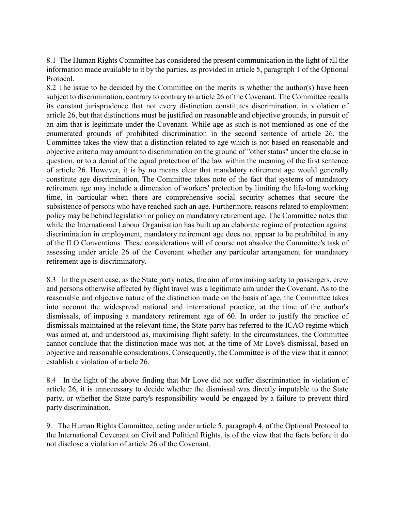8.1 The Human Rights Committee has considered the present communication in the light of all the information made available to it by the parties, as provided in article 5, paragraph 1 of the Optional Protocol.

8.2 The issue to be decided by the Committee on the merits is whether the author(s) have been subject to discrimination, contrary to contrary to article 26 of the Covenant. The Committee recalls its constant jurisprudence that not every distinction constitutes discrimination, in violation of article 26, but that distinctions must be justified on reasonable and objective grounds, in pursuit of an aim that is legitimate under the Covenant. While age as such is not mentioned as one of the enumerated grounds of prohibited discrimination in the second sentence of article 26, the Committee takes the view that a distinction related to age which is not based on reasonable and objective criteria may amount to discrimination on the ground of "other status" under the clause in question, or to a denial of the equal protection of the law within the meaning of the first sentence of article 26. However, it is by no means clear that mandatory retirement age would generally constitute age discrimination. The Committee takes note of the fact that systems of mandatory retirement age may include a dimension of workers' protection by limiting the life-long working time, in particular when there are comprehensive social security schemes that secure the subsistence of persons who have reached such an age. Furthermore, reasons related to employment policy may be behind legislation or policy on mandatory retirement age. The Committee notes that while the International Labour Organisation has built up an elaborate regime of protection against discrimination in employment, mandatory retirement age does not appear to be prohibited in any of the ILO Conventions. These considerations will of course not absolve the Committee's task of assessing under article 26 of the Covenant whether any particular arrangement for mandatory retirement age is discriminatory.

8.3 In the present case, as the State party notes, the aim of maximising safety to passengers, crew and persons otherwise affected by flight travel was a legitimate aim under the Covenant. As to the reasonable and objective nature of the distinction made on the basis of age, the Committee takes into account the widespread national and international practice, at the time of the author's dismissals, of imposing a mandatory retirement age of 60. In order to justify the practice of dismissals maintained at the relevant time, the State party has referred to the ICAO regime which was aimed at, and understood as, maximising flight safety. In the circumstances, the Committee cannot conclude that the distinction made was not, at the time of Mr Love's dismissal, based on objective and reasonable considerations. Consequently, the Committee is of the view that it cannot establish a violation of article 26.

8.4 In the light of the above finding that Mr Love did not suffer discrimination in violation of article 26, it is unnecessary to decide whether the dismissal was directly imputable to the State party, or whether the State party's responsibility would be engaged by a failure to prevent third party discrimination.

9. The Human Rights Committee, acting under article 5, paragraph 4, of the Optional Protocol to the International Covenant on Civil and Political Rights, is of the view that the facts before it do not disclose a violation of article 26 of the Covenant.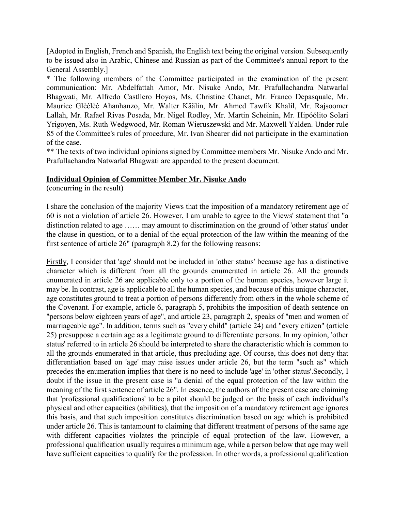[Adopted in English, French and Spanish, the English text being the original version. Subsequently to be issued also in Arabic, Chinese and Russian as part of the Committee's annual report to the General Assembly.]

\* The following members of the Committee participated in the examination of the present communication: Mr. Abdelfattah Amor, Mr. Nisuke Ando, Mr. Prafullachandra Natwarlal Bhagwati, Mr. Alfredo Castllero Hoyos, Ms. Christine Chanet, Mr. Franco Depasquale, Mr. Maurice Glèèlèè Ahanhanzo, Mr. Walter Käälin, Mr. Ahmed Tawfik Khalil, Mr. Rajsoomer Lallah, Mr. Rafael Rivas Posada, Mr. Nigel Rodley, Mr. Martin Scheinin, Mr. Hipóólito Solari Yrigoyen, Ms. Ruth Wedgwood, Mr. Roman Wieruszewski and Mr. Maxwell Yalden. Under rule 85 of the Committee's rules of procedure, Mr. Ivan Shearer did not participate in the examination of the case.

\*\* The texts of two individual opinions signed by Committee members Mr. Nisuke Ando and Mr. Prafullachandra Natwarlal Bhagwati are appended to the present document.

#### Individual Opinion of Committee Member Mr. Nisuke Ando

(concurring in the result)

I share the conclusion of the majority Views that the imposition of a mandatory retirement age of 60 is not a violation of article 26. However, I am unable to agree to the Views' statement that "a distinction related to age …… may amount to discrimination on the ground of 'other status' under the clause in question, or to a denial of the equal protection of the law within the meaning of the first sentence of article 26" (paragraph 8.2) for the following reasons:

Firstly, I consider that 'age' should not be included in 'other status' because age has a distinctive character which is different from all the grounds enumerated in article 26. All the grounds enumerated in article 26 are applicable only to a portion of the human species, however large it may be. In contrast, age is applicable to all the human species, and because of this unique character, age constitutes ground to treat a portion of persons differently from others in the whole scheme of the Covenant. For example, article 6, paragraph 5, prohibits the imposition of death sentence on "persons below eighteen years of age", and article 23, paragraph 2, speaks of "men and women of marriageable age". In addition, terms such as "every child" (article 24) and "every citizen" (article 25) presuppose a certain age as a legitimate ground to differentiate persons. In my opinion, 'other status' referred to in article 26 should be interpreted to share the characteristic which is common to all the grounds enumerated in that article, thus precluding age. Of course, this does not deny that differentiation based on 'age' may raise issues under article 26, but the term "such as" which precedes the enumeration implies that there is no need to include 'age' in 'other status'.Secondly, I doubt if the issue in the present case is "a denial of the equal protection of the law within the meaning of the first sentence of article 26". In essence, the authors of the present case are claiming that 'professional qualifications' to be a pilot should be judged on the basis of each individual's physical and other capacities (abilities), that the imposition of a mandatory retirement age ignores this basis, and that such imposition constitutes discrimination based on age which is prohibited under article 26. This is tantamount to claiming that different treatment of persons of the same age with different capacities violates the principle of equal protection of the law. However, a professional qualification usually requires a minimum age, while a person below that age may well have sufficient capacities to qualify for the profession. In other words, a professional qualification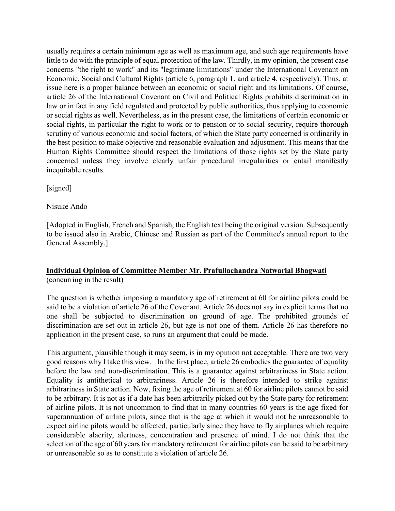usually requires a certain minimum age as well as maximum age, and such age requirements have little to do with the principle of equal protection of the law. Thirdly, in my opinion, the present case concerns "the right to work" and its "legitimate limitations" under the International Covenant on Economic, Social and Cultural Rights (article 6, paragraph 1, and article 4, respectively). Thus, at issue here is a proper balance between an economic or social right and its limitations. Of course, article 26 of the International Covenant on Civil and Political Rights prohibits discrimination in law or in fact in any field regulated and protected by public authorities, thus applying to economic or social rights as well. Nevertheless, as in the present case, the limitations of certain economic or social rights, in particular the right to work or to pension or to social security, require thorough scrutiny of various economic and social factors, of which the State party concerned is ordinarily in the best position to make objective and reasonable evaluation and adjustment. This means that the Human Rights Committee should respect the limitations of those rights set by the State party concerned unless they involve clearly unfair procedural irregularities or entail manifestly inequitable results.

[signed]

Nisuke Ando

[Adopted in English, French and Spanish, the English text being the original version. Subsequently to be issued also in Arabic, Chinese and Russian as part of the Committee's annual report to the General Assembly.]

# Individual Opinion of Committee Member Mr. Prafullachandra Natwarlal Bhagwati (concurring in the result)

The question is whether imposing a mandatory age of retirement at 60 for airline pilots could be said to be a violation of article 26 of the Covenant. Article 26 does not say in explicit terms that no one shall be subjected to discrimination on ground of age. The prohibited grounds of discrimination are set out in article 26, but age is not one of them. Article 26 has therefore no application in the present case, so runs an argument that could be made.

This argument, plausible though it may seem, is in my opinion not acceptable. There are two very good reasons why I take this view. In the first place, article 26 embodies the guarantee of equality before the law and non-discrimination. This is a guarantee against arbitrariness in State action. Equality is antithetical to arbitrariness. Article 26 is therefore intended to strike against arbitrariness in State action. Now, fixing the age of retirement at 60 for airline pilots cannot be said to be arbitrary. It is not as if a date has been arbitrarily picked out by the State party for retirement of airline pilots. It is not uncommon to find that in many countries 60 years is the age fixed for superannuation of airline pilots, since that is the age at which it would not be unreasonable to expect airline pilots would be affected, particularly since they have to fly airplanes which require considerable alacrity, alertness, concentration and presence of mind. I do not think that the selection of the age of 60 years for mandatory retirement for airline pilots can be said to be arbitrary or unreasonable so as to constitute a violation of article 26.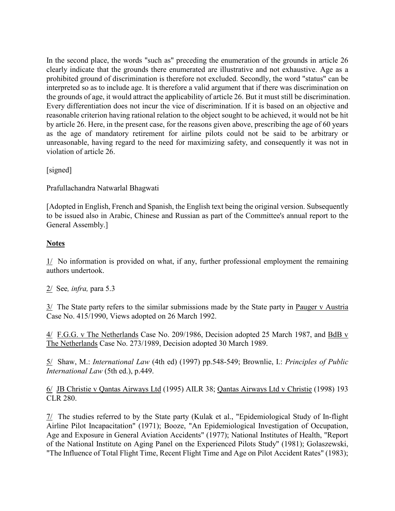In the second place, the words "such as" preceding the enumeration of the grounds in article 26 clearly indicate that the grounds there enumerated are illustrative and not exhaustive. Age as a prohibited ground of discrimination is therefore not excluded. Secondly, the word "status" can be interpreted so as to include age. It is therefore a valid argument that if there was discrimination on the grounds of age, it would attract the applicability of article 26. But it must still be discrimination. Every differentiation does not incur the vice of discrimination. If it is based on an objective and reasonable criterion having rational relation to the object sought to be achieved, it would not be hit by article 26. Here, in the present case, for the reasons given above, prescribing the age of 60 years as the age of mandatory retirement for airline pilots could not be said to be arbitrary or unreasonable, having regard to the need for maximizing safety, and consequently it was not in violation of article 26.

[signed]

Prafullachandra Natwarlal Bhagwati

[Adopted in English, French and Spanish, the English text being the original version. Subsequently to be issued also in Arabic, Chinese and Russian as part of the Committee's annual report to the General Assembly.]

# **Notes**

1/ No information is provided on what, if any, further professional employment the remaining authors undertook.

2/ See, *infra*, para 5.3

 $3/$  The State party refers to the similar submissions made by the State party in Pauger v Austria Case No. 415/1990, Views adopted on 26 March 1992.

4/ F.G.G. v The Netherlands Case No. 209/1986, Decision adopted 25 March 1987, and BdB v The Netherlands Case No. 273/1989, Decision adopted 30 March 1989.

5/ Shaw, M.: International Law (4th ed) (1997) pp.548-549; Brownlie, I.: Principles of Public International Law (5th ed.), p.449.

6/ JB Christie v Qantas Airways Ltd (1995) AILR 38; Qantas Airways Ltd v Christie (1998) 193 CLR 280.

7/ The studies referred to by the State party (Kulak et al., "Epidemiological Study of In-flight Airline Pilot Incapacitation" (1971); Booze, "An Epidemiological Investigation of Occupation, Age and Exposure in General Aviation Accidents" (1977); National Institutes of Health, "Report of the National Institute on Aging Panel on the Experienced Pilots Study" (1981); Golaszewski, "The Influence of Total Flight Time, Recent Flight Time and Age on Pilot Accident Rates" (1983);